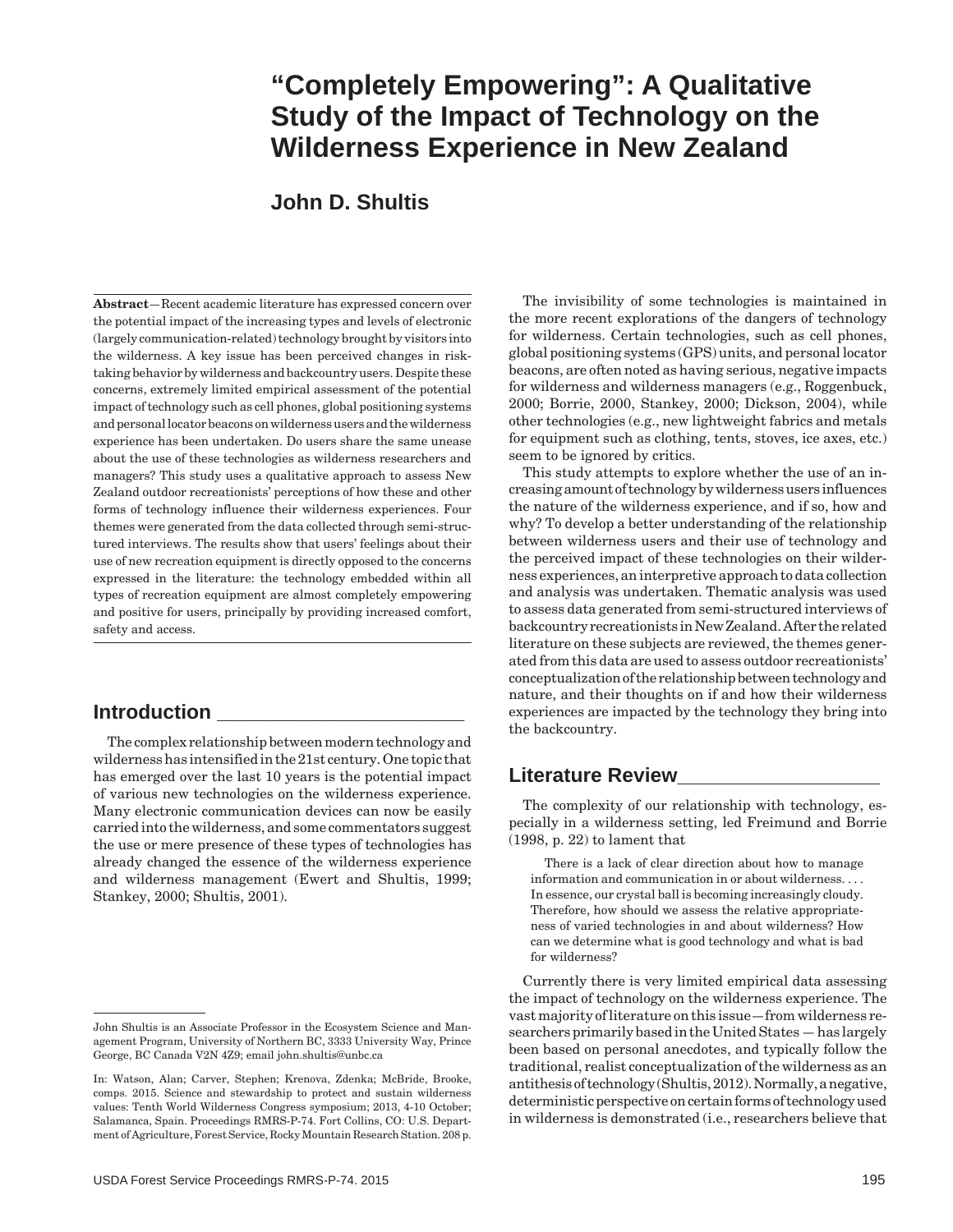# **"Completely Empowering": A Qualitative Study of the Impact of Technology on the Wilderness Experience in New Zealand**

# **John D. Shultis**

**Abstract**—Recent academic literature has expressed concern over the potential impact of the increasing types and levels of electronic (largely communication-related) technology brought by visitors into the wilderness. A key issue has been perceived changes in risktaking behavior by wilderness and backcountry users. Despite these concerns, extremely limited empirical assessment of the potential impact of technology such as cell phones, global positioning systems and personal locator beacons on wilderness users and the wilderness experience has been undertaken. Do users share the same unease about the use of these technologies as wilderness researchers and managers? This study uses a qualitative approach to assess New Zealand outdoor recreationists' perceptions of how these and other forms of technology influence their wilderness experiences. Four themes were generated from the data collected through semi-structured interviews. The results show that users' feelings about their use of new recreation equipment is directly opposed to the concerns expressed in the literature: the technology embedded within all types of recreation equipment are almost completely empowering and positive for users, principally by providing increased comfort, safety and access.

# **Introduction \_\_\_\_\_\_\_\_\_\_\_\_\_\_\_\_\_\_\_\_\_\_**

The complex relationship between modern technology and wilderness has intensified in the 21st century. One topic that has emerged over the last 10 years is the potential impact of various new technologies on the wilderness experience. Many electronic communication devices can now be easily carried into the wilderness, and some commentators suggest the use or mere presence of these types of technologies has already changed the essence of the wilderness experience and wilderness management (Ewert and Shultis, 1999; Stankey, 2000; Shultis, 2001).

The invisibility of some technologies is maintained in the more recent explorations of the dangers of technology for wilderness. Certain technologies, such as cell phones, global positioning systems (GPS) units, and personal locator beacons, are often noted as having serious, negative impacts for wilderness and wilderness managers (e.g., Roggenbuck, 2000; Borrie, 2000, Stankey, 2000; Dickson, 2004), while other technologies (e.g., new lightweight fabrics and metals for equipment such as clothing, tents, stoves, ice axes, etc.) seem to be ignored by critics.

This study attempts to explore whether the use of an increasing amount of technology by wilderness users influences the nature of the wilderness experience, and if so, how and why? To develop a better understanding of the relationship between wilderness users and their use of technology and the perceived impact of these technologies on their wilderness experiences, an interpretive approach to data collection and analysis was undertaken. Thematic analysis was used to assess data generated from semi-structured interviews of backcountry recreationists in New Zealand. After the related literature on these subjects are reviewed, the themes generated from this data are used to assess outdoor recreationists' conceptualization of the relationship between technology and nature, and their thoughts on if and how their wilderness experiences are impacted by the technology they bring into the backcountry.

# **Literature Review\_\_\_\_\_\_\_\_\_\_\_\_\_\_\_\_\_\_**

The complexity of our relationship with technology, especially in a wilderness setting, led Freimund and Borrie (1998, p. 22) to lament that

There is a lack of clear direction about how to manage information and communication in or about wilderness. . . . In essence, our crystal ball is becoming increasingly cloudy. Therefore, how should we assess the relative appropriateness of varied technologies in and about wilderness? How can we determine what is good technology and what is bad for wilderness?

Currently there is very limited empirical data assessing the impact of technology on the wilderness experience. The vast majority of literature on this issue—from wilderness researchers primarily based in the United States — has largely been based on personal anecdotes, and typically follow the traditional, realist conceptualization of the wilderness as an antithesis of technology (Shultis, 2012). Normally, a negative, deterministic perspective on certain forms of technology used in wilderness is demonstrated (i.e., researchers believe that

John Shultis is an Associate Professor in the Ecosystem Science and Management Program, University of Northern BC, 3333 University Way, Prince George, BC Canada V2N 4Z9; email john.shultis@unbc.ca

In: Watson, Alan; Carver, Stephen; Krenova, Zdenka; McBride, Brooke, comps. 2015. Science and stewardship to protect and sustain wilderness values: Tenth World Wilderness Congress symposium; 2013, 4-10 October; Salamanca, Spain. Proceedings RMRS-P-74. Fort Collins, CO: U.S. Department of Agriculture, Forest Service, Rocky Mountain Research Station. 208 p.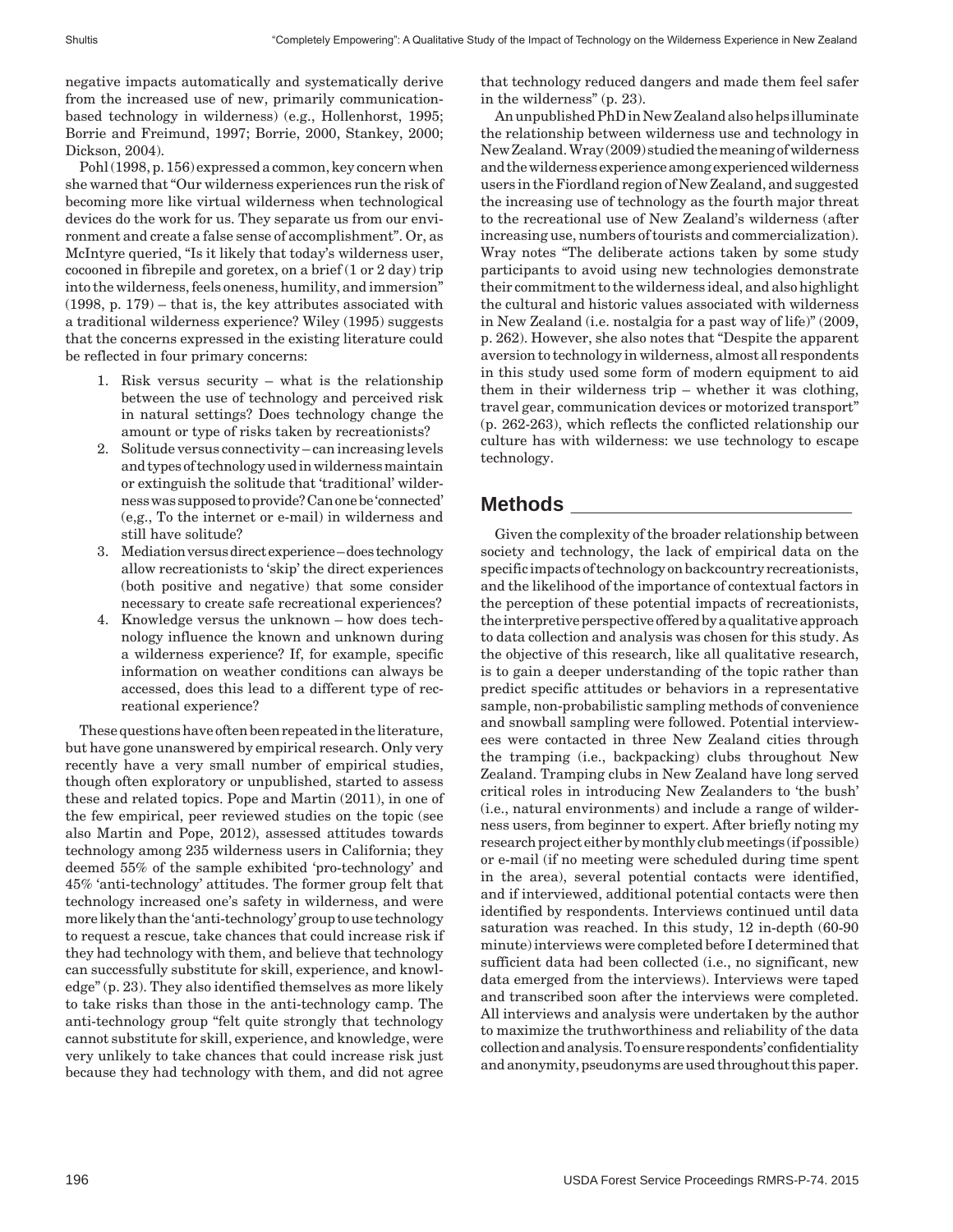negative impacts automatically and systematically derive from the increased use of new, primarily communicationbased technology in wilderness) (e.g., Hollenhorst, 1995; Borrie and Freimund, 1997; Borrie, 2000, Stankey, 2000; Dickson, 2004).

Pohl (1998, p. 156) expressed a common, key concern when she warned that "Our wilderness experiences run the risk of becoming more like virtual wilderness when technological devices do the work for us. They separate us from our environment and create a false sense of accomplishment". Or, as McIntyre queried, "Is it likely that today's wilderness user, cocooned in fibrepile and goretex, on a brief (1 or 2 day) trip into the wilderness, feels oneness, humility, and immersion" (1998, p. 179) – that is, the key attributes associated with a traditional wilderness experience? Wiley (1995) suggests that the concerns expressed in the existing literature could be reflected in four primary concerns:

- 1. Risk versus security what is the relationship between the use of technology and perceived risk in natural settings? Does technology change the amount or type of risks taken by recreationists?
- 2. Solitude versus connectivity can increasing levels and types of technology used in wilderness maintain or extinguish the solitude that 'traditional' wilderness was supposed to provide? Can one be 'connected' (e,g., To the internet or e-mail) in wilderness and still have solitude?
- 3. Mediation versus direct experience does technology allow recreationists to 'skip' the direct experiences (both positive and negative) that some consider necessary to create safe recreational experiences?
- 4. Knowledge versus the unknown how does technology influence the known and unknown during a wilderness experience? If, for example, specific information on weather conditions can always be accessed, does this lead to a different type of recreational experience?

These questions have often been repeated in the literature, but have gone unanswered by empirical research. Only very recently have a very small number of empirical studies, though often exploratory or unpublished, started to assess these and related topics. Pope and Martin (2011), in one of the few empirical, peer reviewed studies on the topic (see also Martin and Pope, 2012), assessed attitudes towards technology among 235 wilderness users in California; they deemed 55% of the sample exhibited 'pro-technology' and 45% 'anti-technology' attitudes. The former group felt that technology increased one's safety in wilderness, and were more likely than the 'anti-technology' group to use technology to request a rescue, take chances that could increase risk if they had technology with them, and believe that technology can successfully substitute for skill, experience, and knowledge" (p. 23). They also identified themselves as more likely to take risks than those in the anti-technology camp. The anti-technology group "felt quite strongly that technology cannot substitute for skill, experience, and knowledge, were very unlikely to take chances that could increase risk just because they had technology with them, and did not agree

that technology reduced dangers and made them feel safer in the wilderness" (p. 23).

An unpublished PhD in New Zealand also helps illuminate the relationship between wilderness use and technology in New Zealand. Wray (2009) studied the meaning of wilderness and the wilderness experience among experienced wilderness users in the Fiordland region of New Zealand, and suggested the increasing use of technology as the fourth major threat to the recreational use of New Zealand's wilderness (after increasing use, numbers of tourists and commercialization). Wray notes "The deliberate actions taken by some study participants to avoid using new technologies demonstrate their commitment to the wilderness ideal, and also highlight the cultural and historic values associated with wilderness in New Zealand (i.e. nostalgia for a past way of life)" (2009, p. 262). However, she also notes that "Despite the apparent aversion to technology in wilderness, almost all respondents in this study used some form of modern equipment to aid them in their wilderness trip – whether it was clothing, travel gear, communication devices or motorized transport" (p. 262-263), which reflects the conflicted relationship our culture has with wilderness: we use technology to escape technology.

# **Methods \_\_\_\_\_\_\_\_\_\_\_\_\_\_\_\_\_\_\_\_\_\_\_\_\_**

Given the complexity of the broader relationship between society and technology, the lack of empirical data on the specific impacts of technology on backcountry recreationists, and the likelihood of the importance of contextual factors in the perception of these potential impacts of recreationists, the interpretive perspective offered by a qualitative approach to data collection and analysis was chosen for this study. As the objective of this research, like all qualitative research, is to gain a deeper understanding of the topic rather than predict specific attitudes or behaviors in a representative sample, non-probabilistic sampling methods of convenience and snowball sampling were followed. Potential interviewees were contacted in three New Zealand cities through the tramping (i.e., backpacking) clubs throughout New Zealand. Tramping clubs in New Zealand have long served critical roles in introducing New Zealanders to 'the bush' (i.e., natural environments) and include a range of wilderness users, from beginner to expert. After briefly noting my research project either by monthly club meetings (if possible) or e-mail (if no meeting were scheduled during time spent in the area), several potential contacts were identified, and if interviewed, additional potential contacts were then identified by respondents. Interviews continued until data saturation was reached. In this study, 12 in-depth (60-90 minute) interviews were completed before I determined that sufficient data had been collected (i.e., no significant, new data emerged from the interviews). Interviews were taped and transcribed soon after the interviews were completed. All interviews and analysis were undertaken by the author to maximize the truthworthiness and reliability of the data collection and analysis. To ensure respondents' confidentiality and anonymity, pseudonyms are used throughout this paper.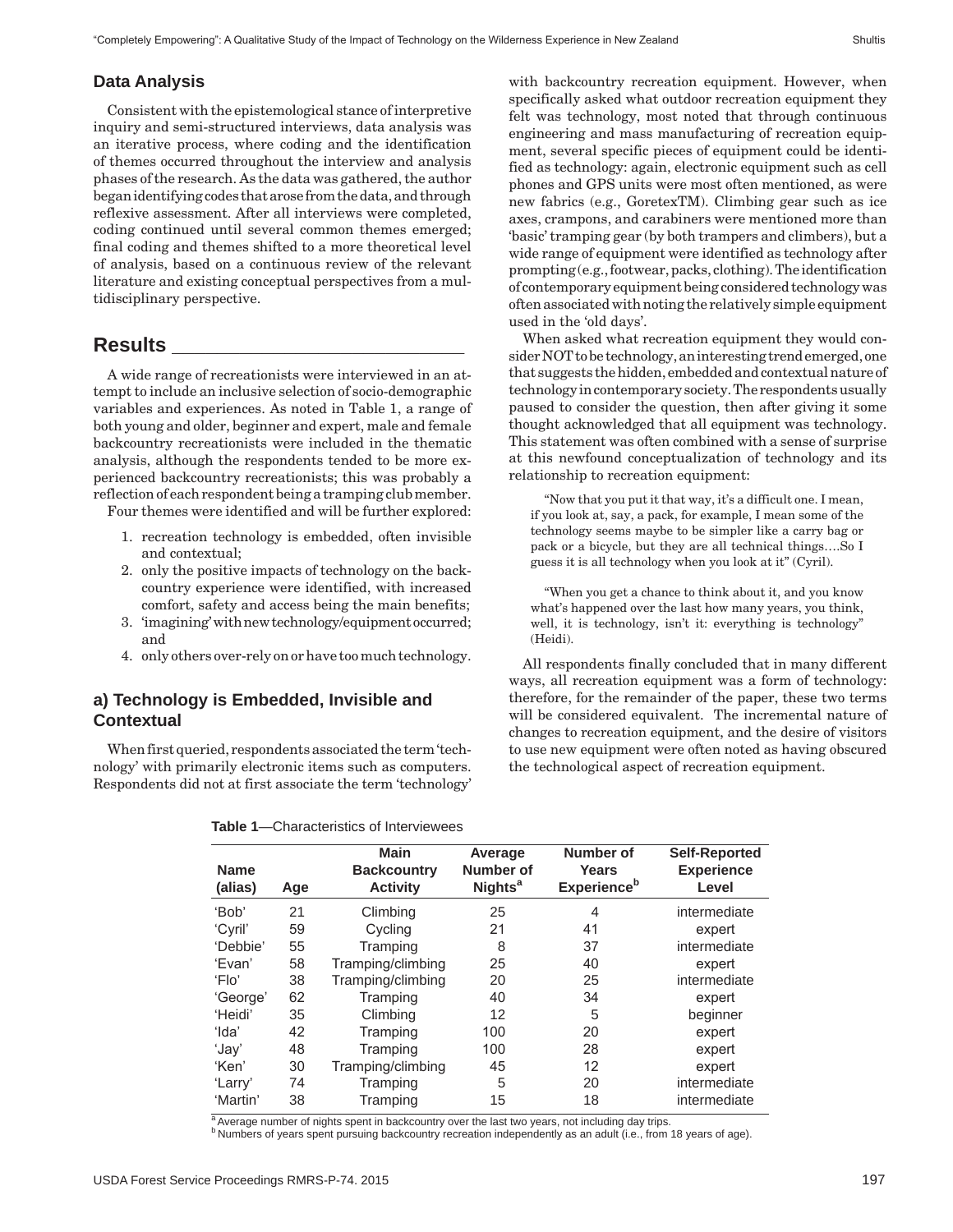#### **Data Analysis**

Consistent with the epistemological stance of interpretive inquiry and semi-structured interviews, data analysis was an iterative process, where coding and the identification of themes occurred throughout the interview and analysis phases of the research. As the data was gathered, the author began identifying codes that arose from the data, and through reflexive assessment. After all interviews were completed, coding continued until several common themes emerged; final coding and themes shifted to a more theoretical level of analysis, based on a continuous review of the relevant literature and existing conceptual perspectives from a multidisciplinary perspective.

#### **Results \_\_\_\_\_\_\_\_\_\_\_\_\_\_\_\_\_\_\_\_\_\_\_\_\_\_**

A wide range of recreationists were interviewed in an attempt to include an inclusive selection of socio-demographic variables and experiences. As noted in Table 1, a range of both young and older, beginner and expert, male and female backcountry recreationists were included in the thematic analysis, although the respondents tended to be more experienced backcountry recreationists; this was probably a reflection of each respondent being a tramping club member.

Four themes were identified and will be further explored:

- 1. recreation technology is embedded, often invisible and contextual;
- 2. only the positive impacts of technology on the backcountry experience were identified, with increased comfort, safety and access being the main benefits;
- 3. 'imagining' with new technology/equipment occurred; and
- 4. only others over-rely on or have too much technology.

#### **a) Technology is Embedded, Invisible and Contextual**

When first queried, respondents associated the term 'technology' with primarily electronic items such as computers. Respondents did not at first associate the term 'technology'

with backcountry recreation equipment. However, when specifically asked what outdoor recreation equipment they felt was technology, most noted that through continuous engineering and mass manufacturing of recreation equipment, several specific pieces of equipment could be identified as technology: again, electronic equipment such as cell phones and GPS units were most often mentioned, as were new fabrics (e.g., GoretexTM). Climbing gear such as ice axes, crampons, and carabiners were mentioned more than 'basic' tramping gear (by both trampers and climbers), but a wide range of equipment were identified as technology after prompting (e.g., footwear, packs, clothing). The identification of contemporary equipment being considered technology was often associated with noting the relatively simple equipment used in the 'old days'.

When asked what recreation equipment they would consider NOT to be technology, an interesting trend emerged, one that suggests the hidden, embedded and contextual nature of technology in contemporary society. The respondents usually paused to consider the question, then after giving it some thought acknowledged that all equipment was technology. This statement was often combined with a sense of surprise at this newfound conceptualization of technology and its relationship to recreation equipment:

"Now that you put it that way, it's a difficult one. I mean, if you look at, say, a pack, for example, I mean some of the technology seems maybe to be simpler like a carry bag or pack or a bicycle, but they are all technical things….So I guess it is all technology when you look at it" (Cyril).

"When you get a chance to think about it, and you know what's happened over the last how many years, you think, well, it is technology, isn't it: everything is technology' (Heidi).

All respondents finally concluded that in many different ways, all recreation equipment was a form of technology: therefore, for the remainder of the paper, these two terms will be considered equivalent. The incremental nature of changes to recreation equipment, and the desire of visitors to use new equipment were often noted as having obscured the technological aspect of recreation equipment.

| <b>Name</b><br>(alias) | Age | <b>Main</b><br><b>Backcountry</b><br><b>Activity</b> | Average<br>Number of<br><b>Nights<sup>a</sup></b> | Number of<br>Years<br><b>Experience</b> <sup>b</sup> | <b>Self-Reported</b><br><b>Experience</b><br>Level |
|------------------------|-----|------------------------------------------------------|---------------------------------------------------|------------------------------------------------------|----------------------------------------------------|
| 'Bob'                  | 21  | Climbing                                             | 25                                                | 4                                                    | intermediate                                       |
| 'Cyril'                | 59  | Cycling                                              | 21                                                | 41                                                   | expert                                             |
| 'Debbie'               | 55  | Tramping                                             | 8                                                 | 37                                                   | intermediate                                       |
| 'Evan'                 | 58  | Tramping/climbing                                    | 25                                                | 40                                                   | expert                                             |
| 'Flo'                  | 38  | Tramping/climbing                                    | 20                                                | 25                                                   | intermediate                                       |
| 'George'               | 62  | Tramping                                             | 40                                                | 34                                                   | expert                                             |
| 'Heidi'                | 35  | Climbing                                             | 12                                                | 5                                                    | beginner                                           |
| 'Ida'                  | 42  | Tramping                                             | 100                                               | 20                                                   | expert                                             |
| 'Jay'                  | 48  | Tramping                                             | 100                                               | 28                                                   | expert                                             |
| 'Ken'                  | 30  | Tramping/climbing                                    | 45                                                | 12                                                   | expert                                             |
| 'Larry'                | 74  | Tramping                                             | 5                                                 | 20                                                   | intermediate                                       |
| 'Martin'               | 38  | Tramping                                             | 15                                                | 18                                                   | intermediate                                       |

**Table 1**—Characteristics of Interviewees

<sup>a</sup> Average number of nights spent in backcountry over the last two years, not including day trips.

<sup>b</sup> Numbers of years spent pursuing backcountry recreation independently as an adult (i.e., from 18 years of age).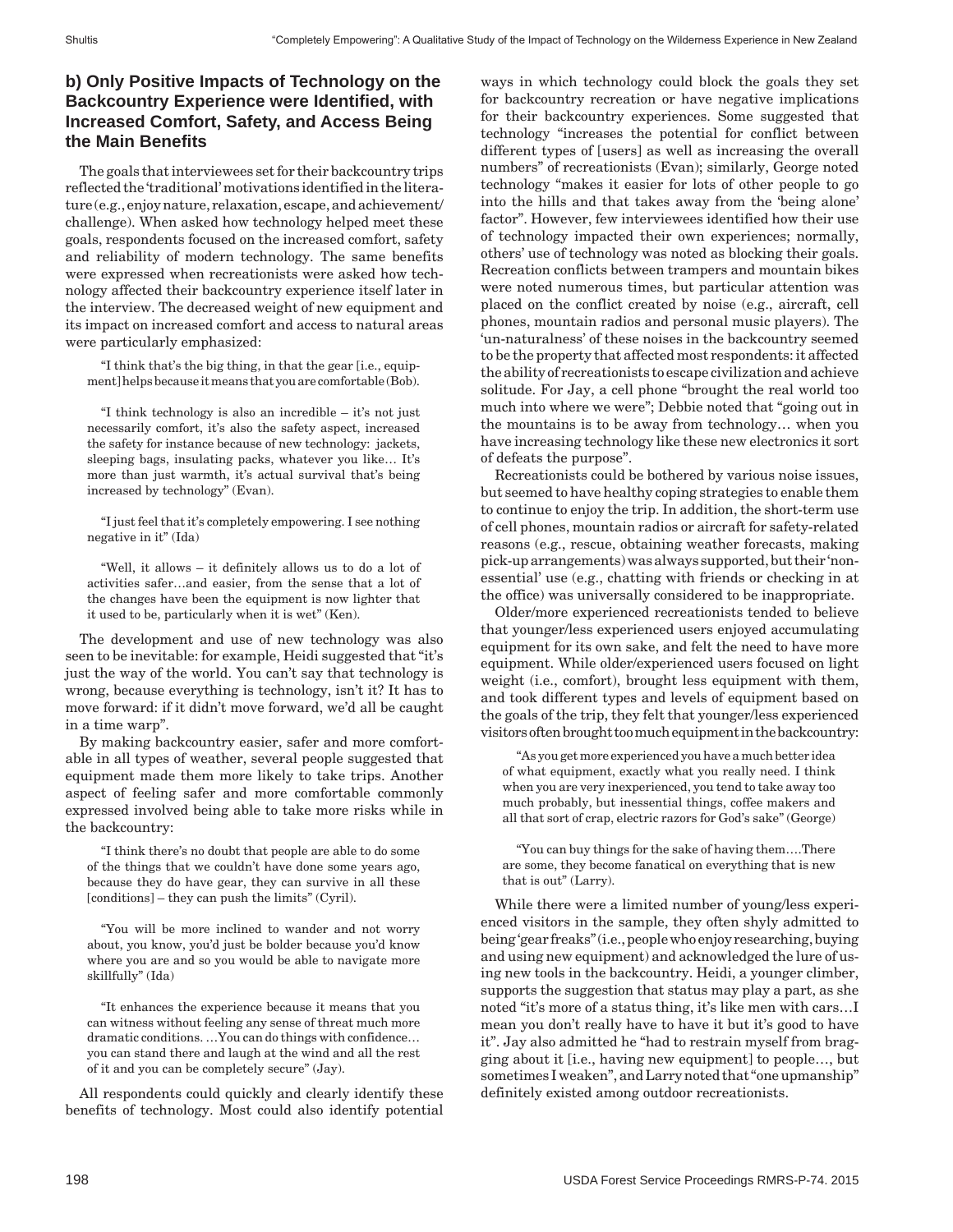#### **b) Only Positive Impacts of Technology on the Backcountry Experience were Identified, with Increased Comfort, Safety, and Access Being the Main Benefits**

The goals that interviewees set for their backcountry trips reflected the 'traditional' motivations identified in the literature (e.g., enjoy nature, relaxation, escape, and achievement/ challenge). When asked how technology helped meet these goals, respondents focused on the increased comfort, safety and reliability of modern technology. The same benefits were expressed when recreationists were asked how technology affected their backcountry experience itself later in the interview. The decreased weight of new equipment and its impact on increased comfort and access to natural areas were particularly emphasized:

"I think that's the big thing, in that the gear [i.e., equipment] helps because it means that you are comfortable (Bob).

"I think technology is also an incredible – it's not just necessarily comfort, it's also the safety aspect, increased the safety for instance because of new technology: jackets, sleeping bags, insulating packs, whatever you like… It's more than just warmth, it's actual survival that's being increased by technology" (Evan).

"I just feel that it's completely empowering. I see nothing negative in it" (Ida)

"Well, it allows – it definitely allows us to do a lot of activities safer…and easier, from the sense that a lot of the changes have been the equipment is now lighter that it used to be, particularly when it is wet" (Ken).

The development and use of new technology was also seen to be inevitable: for example, Heidi suggested that "it's just the way of the world. You can't say that technology is wrong, because everything is technology, isn't it? It has to move forward: if it didn't move forward, we'd all be caught in a time warp".

By making backcountry easier, safer and more comfortable in all types of weather, several people suggested that equipment made them more likely to take trips. Another aspect of feeling safer and more comfortable commonly expressed involved being able to take more risks while in the backcountry:

"I think there's no doubt that people are able to do some of the things that we couldn't have done some years ago, because they do have gear, they can survive in all these [conditions] – they can push the limits" (Cyril).

"You will be more inclined to wander and not worry about, you know, you'd just be bolder because you'd know where you are and so you would be able to navigate more skillfully" (Ida)

"It enhances the experience because it means that you can witness without feeling any sense of threat much more dramatic conditions. …You can do things with confidence… you can stand there and laugh at the wind and all the rest of it and you can be completely secure" (Jay).

All respondents could quickly and clearly identify these benefits of technology. Most could also identify potential

ways in which technology could block the goals they set for backcountry recreation or have negative implications for their backcountry experiences. Some suggested that technology "increases the potential for conflict between different types of [users] as well as increasing the overall numbers" of recreationists (Evan); similarly, George noted technology "makes it easier for lots of other people to go into the hills and that takes away from the 'being alone' factor". However, few interviewees identified how their use of technology impacted their own experiences; normally, others' use of technology was noted as blocking their goals. Recreation conflicts between trampers and mountain bikes were noted numerous times, but particular attention was placed on the conflict created by noise (e.g., aircraft, cell phones, mountain radios and personal music players). The 'un-naturalness' of these noises in the backcountry seemed to be the property that affected most respondents: it affected the ability of recreationists to escape civilization and achieve solitude. For Jay, a cell phone "brought the real world too much into where we were"; Debbie noted that "going out in the mountains is to be away from technology… when you have increasing technology like these new electronics it sort of defeats the purpose".

Recreationists could be bothered by various noise issues, but seemed to have healthy coping strategies to enable them to continue to enjoy the trip. In addition, the short-term use of cell phones, mountain radios or aircraft for safety-related reasons (e.g., rescue, obtaining weather forecasts, making pick-up arrangements) was always supported, but their 'nonessential' use (e.g., chatting with friends or checking in at the office) was universally considered to be inappropriate.

Older/more experienced recreationists tended to believe that younger/less experienced users enjoyed accumulating equipment for its own sake, and felt the need to have more equipment. While older/experienced users focused on light weight (i.e., comfort), brought less equipment with them, and took different types and levels of equipment based on the goals of the trip, they felt that younger/less experienced visitors often brought too much equipment in the backcountry:

"As you get more experienced you have a much better idea of what equipment, exactly what you really need. I think when you are very inexperienced, you tend to take away too much probably, but inessential things, coffee makers and all that sort of crap, electric razors for God's sake" (George)

"You can buy things for the sake of having them….There are some, they become fanatical on everything that is new that is out" (Larry).

While there were a limited number of young/less experienced visitors in the sample, they often shyly admitted to being 'gear freaks" (i.e., people who enjoy researching, buying and using new equipment) and acknowledged the lure of using new tools in the backcountry. Heidi, a younger climber, supports the suggestion that status may play a part, as she noted "it's more of a status thing, it's like men with cars…I mean you don't really have to have it but it's good to have it". Jay also admitted he "had to restrain myself from bragging about it [i.e., having new equipment] to people…, but sometimes I weaken", and Larry noted that "one upmanship" definitely existed among outdoor recreationists.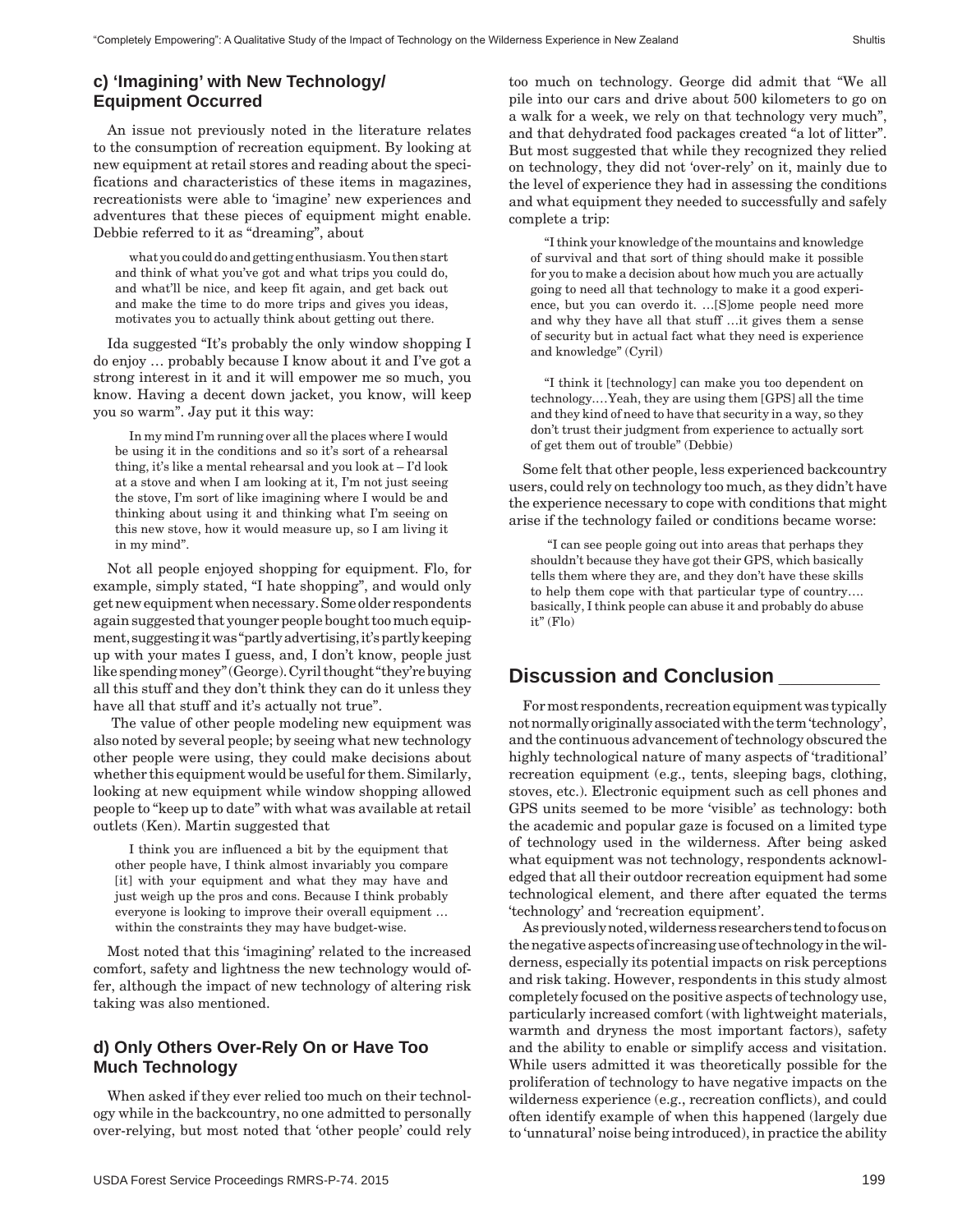#### **c) 'Imagining' with New Technology/ Equipment Occurred**

An issue not previously noted in the literature relates to the consumption of recreation equipment. By looking at new equipment at retail stores and reading about the specifications and characteristics of these items in magazines, recreationists were able to 'imagine' new experiences and adventures that these pieces of equipment might enable. Debbie referred to it as "dreaming", about

what you could do and getting enthusiasm. You then start and think of what you've got and what trips you could do, and what'll be nice, and keep fit again, and get back out and make the time to do more trips and gives you ideas, motivates you to actually think about getting out there.

Ida suggested "It's probably the only window shopping I do enjoy … probably because I know about it and I've got a strong interest in it and it will empower me so much, you know. Having a decent down jacket, you know, will keep you so warm". Jay put it this way:

In my mind I'm running over all the places where I would be using it in the conditions and so it's sort of a rehearsal thing, it's like a mental rehearsal and you look at – I'd look at a stove and when I am looking at it, I'm not just seeing the stove, I'm sort of like imagining where I would be and thinking about using it and thinking what I'm seeing on this new stove, how it would measure up, so I am living it in my mind".

Not all people enjoyed shopping for equipment. Flo, for example, simply stated, "I hate shopping", and would only get new equipment when necessary. Some older respondents again suggested that younger people bought too much equipment, suggesting it was "partly advertising, it's partly keeping up with your mates I guess, and, I don't know, people just like spending money" (George). Cyril thought "they're buying all this stuff and they don't think they can do it unless they have all that stuff and it's actually not true".

 The value of other people modeling new equipment was also noted by several people; by seeing what new technology other people were using, they could make decisions about whether this equipment would be useful for them. Similarly, looking at new equipment while window shopping allowed people to "keep up to date" with what was available at retail outlets (Ken). Martin suggested that

I think you are influenced a bit by the equipment that other people have, I think almost invariably you compare [it] with your equipment and what they may have and just weigh up the pros and cons. Because I think probably everyone is looking to improve their overall equipment … within the constraints they may have budget-wise.

Most noted that this 'imagining' related to the increased comfort, safety and lightness the new technology would offer, although the impact of new technology of altering risk taking was also mentioned.

### **d) Only Others Over-Rely On or Have Too Much Technology**

When asked if they ever relied too much on their technology while in the backcountry, no one admitted to personally over-relying, but most noted that 'other people' could rely too much on technology. George did admit that "We all pile into our cars and drive about 500 kilometers to go on a walk for a week, we rely on that technology very much", and that dehydrated food packages created "a lot of litter". But most suggested that while they recognized they relied on technology, they did not 'over-rely' on it, mainly due to the level of experience they had in assessing the conditions and what equipment they needed to successfully and safely complete a trip:

"I think your knowledge of the mountains and knowledge of survival and that sort of thing should make it possible for you to make a decision about how much you are actually going to need all that technology to make it a good experience, but you can overdo it. …[S]ome people need more and why they have all that stuff …it gives them a sense of security but in actual fact what they need is experience and knowledge" (Cyril)

"I think it [technology] can make you too dependent on technology.…Yeah, they are using them [GPS] all the time and they kind of need to have that security in a way, so they don't trust their judgment from experience to actually sort of get them out of trouble" (Debbie)

Some felt that other people, less experienced backcountry users, could rely on technology too much, as they didn't have the experience necessary to cope with conditions that might arise if the technology failed or conditions became worse:

 "I can see people going out into areas that perhaps they shouldn't because they have got their GPS, which basically tells them where they are, and they don't have these skills to help them cope with that particular type of country…. basically, I think people can abuse it and probably do abuse it" (Flo)

# **Discussion and Conclusion \_\_\_\_\_\_\_\_\_**

For most respondents, recreation equipment was typically not normally originally associated with the term 'technology', and the continuous advancement of technology obscured the highly technological nature of many aspects of 'traditional' recreation equipment (e.g., tents, sleeping bags, clothing, stoves, etc.). Electronic equipment such as cell phones and GPS units seemed to be more 'visible' as technology: both the academic and popular gaze is focused on a limited type of technology used in the wilderness. After being asked what equipment was not technology, respondents acknowledged that all their outdoor recreation equipment had some technological element, and there after equated the terms 'technology' and 'recreation equipment'.

As previously noted, wilderness researchers tend to focus on the negative aspects of increasing use of technology in the wilderness, especially its potential impacts on risk perceptions and risk taking. However, respondents in this study almost completely focused on the positive aspects of technology use, particularly increased comfort (with lightweight materials, warmth and dryness the most important factors), safety and the ability to enable or simplify access and visitation. While users admitted it was theoretically possible for the proliferation of technology to have negative impacts on the wilderness experience (e.g., recreation conflicts), and could often identify example of when this happened (largely due to 'unnatural' noise being introduced), in practice the ability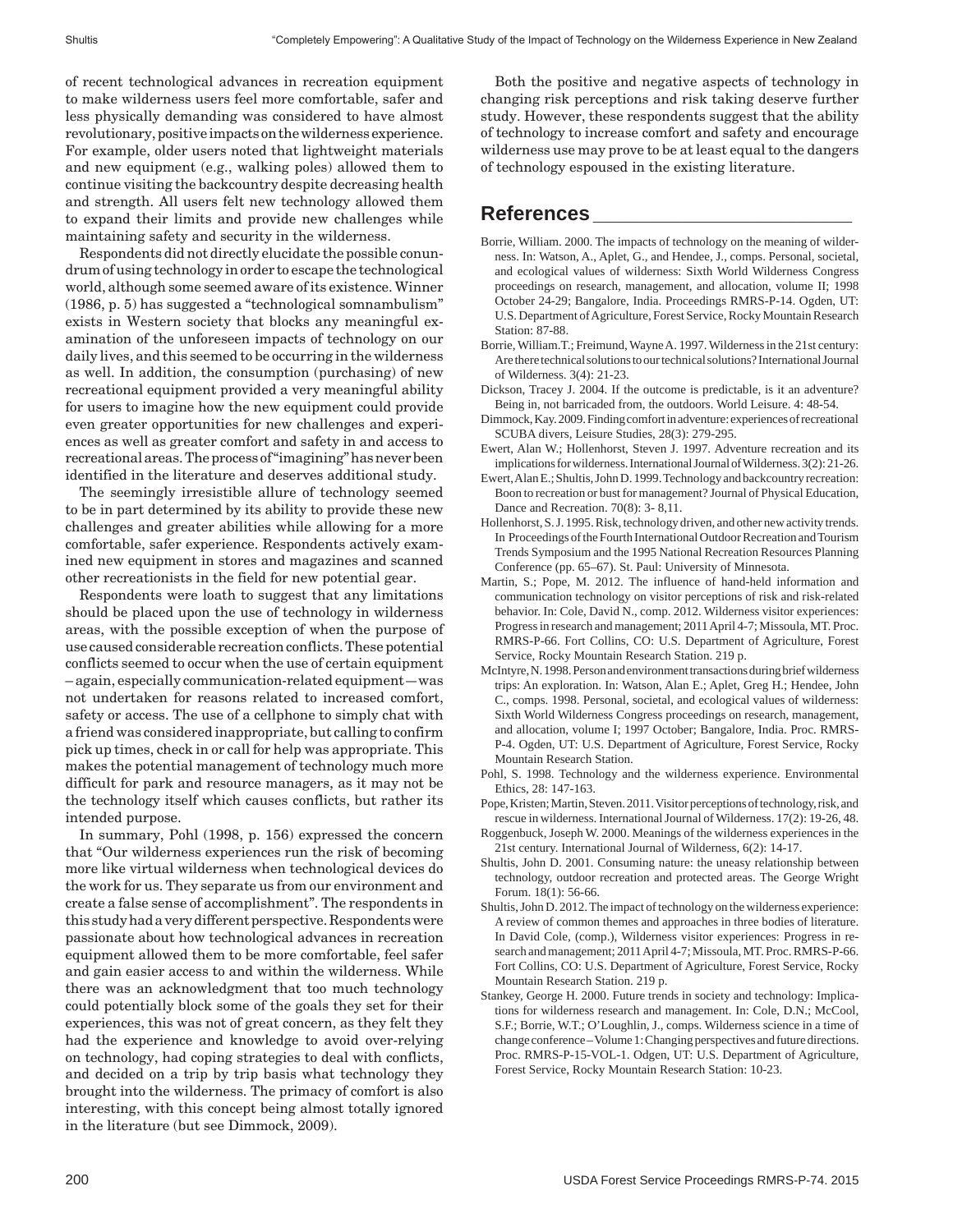of recent technological advances in recreation equipment to make wilderness users feel more comfortable, safer and less physically demanding was considered to have almost revolutionary, positive impacts on the wilderness experience. For example, older users noted that lightweight materials and new equipment (e.g., walking poles) allowed them to continue visiting the backcountry despite decreasing health and strength. All users felt new technology allowed them to expand their limits and provide new challenges while maintaining safety and security in the wilderness.

Respondents did not directly elucidate the possible conundrum of using technology in order to escape the technological world, although some seemed aware of its existence. Winner (1986, p. 5) has suggested a "technological somnambulism" exists in Western society that blocks any meaningful examination of the unforeseen impacts of technology on our daily lives, and this seemed to be occurring in the wilderness as well. In addition, the consumption (purchasing) of new recreational equipment provided a very meaningful ability for users to imagine how the new equipment could provide even greater opportunities for new challenges and experiences as well as greater comfort and safety in and access to recreational areas. The process of "imagining" has never been identified in the literature and deserves additional study.

The seemingly irresistible allure of technology seemed to be in part determined by its ability to provide these new challenges and greater abilities while allowing for a more comfortable, safer experience. Respondents actively examined new equipment in stores and magazines and scanned other recreationists in the field for new potential gear.

Respondents were loath to suggest that any limitations should be placed upon the use of technology in wilderness areas, with the possible exception of when the purpose of use caused considerable recreation conflicts. These potential conflicts seemed to occur when the use of certain equipment – again, especially communication-related equipment—was not undertaken for reasons related to increased comfort, safety or access. The use of a cellphone to simply chat with a friend was considered inappropriate, but calling to confirm pick up times, check in or call for help was appropriate. This makes the potential management of technology much more difficult for park and resource managers, as it may not be the technology itself which causes conflicts, but rather its intended purpose.

In summary, Pohl (1998, p. 156) expressed the concern that "Our wilderness experiences run the risk of becoming more like virtual wilderness when technological devices do the work for us. They separate us from our environment and create a false sense of accomplishment". The respondents in this study had a very different perspective. Respondents were passionate about how technological advances in recreation equipment allowed them to be more comfortable, feel safer and gain easier access to and within the wilderness. While there was an acknowledgment that too much technology could potentially block some of the goals they set for their experiences, this was not of great concern, as they felt they had the experience and knowledge to avoid over-relying on technology, had coping strategies to deal with conflicts, and decided on a trip by trip basis what technology they brought into the wilderness. The primacy of comfort is also interesting, with this concept being almost totally ignored in the literature (but see Dimmock, 2009).

Both the positive and negative aspects of technology in changing risk perceptions and risk taking deserve further study. However, these respondents suggest that the ability of technology to increase comfort and safety and encourage wilderness use may prove to be at least equal to the dangers of technology espoused in the existing literature.

#### **References \_\_\_\_\_\_\_\_\_\_\_\_\_\_\_\_\_\_\_\_\_\_\_**

- Borrie, William. 2000. The impacts of technology on the meaning of wilderness. In: Watson, A., Aplet, G., and Hendee, J., comps. Personal, societal, and ecological values of wilderness: Sixth World Wilderness Congress proceedings on research, management, and allocation, volume II; 1998 October 24-29; Bangalore, India. Proceedings RMRS-P-14. Ogden, UT: U.S. Department of Agriculture, Forest Service, Rocky Mountain Research Station: 87-88.
- Borrie, William.T.; Freimund, Wayne A. 1997. Wilderness in the 21st century: Are there technical solutions to our technical solutions? International Journal of Wilderness. 3(4): 21-23.
- Dickson, Tracey J. 2004. If the outcome is predictable, is it an adventure? Being in, not barricaded from, the outdoors. World Leisure. 4: 48-54.
- Dimmock, Kay. 2009. Finding comfort in adventure: experiences of recreational SCUBA divers, Leisure Studies, 28(3): 279-295.
- Ewert, Alan W.; Hollenhorst, Steven J. 1997. Adventure recreation and its implications for wilderness. International Journal of Wilderness. 3(2): 21-26.
- Ewert, Alan E.; Shultis, John D. 1999. Technology and backcountry recreation: Boon to recreation or bust for management? Journal of Physical Education, Dance and Recreation. 70(8): 3- 8,11.
- Hollenhorst, S. J. 1995. Risk, technology driven, and other new activity trends. In Proceedings of the Fourth International Outdoor Recreation and Tourism Trends Symposium and the 1995 National Recreation Resources Planning Conference (pp. 65–67). St. Paul: University of Minnesota.
- Martin, S.; Pope, M. 2012. The influence of hand-held information and communication technology on visitor perceptions of risk and risk-related behavior. In: Cole, David N., comp. 2012. Wilderness visitor experiences: Progress in research and management; 2011 April 4-7; Missoula, MT. Proc. RMRS-P-66. Fort Collins, CO: U.S. Department of Agriculture, Forest Service, Rocky Mountain Research Station. 219 p.
- McIntyre, N. 1998. Person and environment transactions during brief wilderness trips: An exploration. In: Watson, Alan E.; Aplet, Greg H.; Hendee, John C., comps. 1998. Personal, societal, and ecological values of wilderness: Sixth World Wilderness Congress proceedings on research, management, and allocation, volume I; 1997 October; Bangalore, India. Proc. RMRS-P-4. Ogden, UT: U.S. Department of Agriculture, Forest Service, Rocky Mountain Research Station.
- Pohl, S. 1998. Technology and the wilderness experience. Environmental Ethics, 28: 147-163.
- Pope, Kristen; Martin, Steven. 2011. Visitor perceptions of technology, risk, and rescue in wilderness. International Journal of Wilderness. 17(2): 19-26, 48.
- Roggenbuck, Joseph W. 2000. Meanings of the wilderness experiences in the 21st century. International Journal of Wilderness, 6(2): 14-17.
- Shultis, John D. 2001. Consuming nature: the uneasy relationship between technology, outdoor recreation and protected areas. The George Wright Forum. 18(1): 56-66.
- Shultis, John D. 2012. The impact of technology on the wilderness experience: A review of common themes and approaches in three bodies of literature. In David Cole, (comp.), Wilderness visitor experiences: Progress in research and management; 2011 April 4-7; Missoula, MT. Proc. RMRS-P-66. Fort Collins, CO: U.S. Department of Agriculture, Forest Service, Rocky Mountain Research Station. 219 p.
- Stankey, George H. 2000. Future trends in society and technology: Implications for wilderness research and management. In: Cole, D.N.; McCool, S.F.; Borrie, W.T.; O'Loughlin, J., comps. Wilderness science in a time of change conference – Volume 1: Changing perspectives and future directions. Proc. RMRS-P-15-VOL-1. Odgen, UT: U.S. Department of Agriculture, Forest Service, Rocky Mountain Research Station: 10-23.